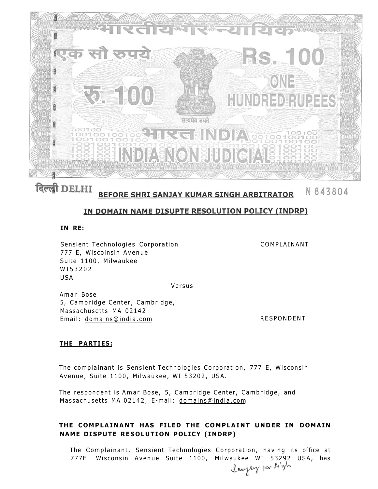

#### दिल्ली DELHI N 843804 BEFORE SHRI SANJAY KUMAR SINGH ARBITRATOR

# IN DOMAIN NAME DISUPTE RESOLUTION POLICY (INDRP)

### **IN RE:**

Sensient Technologies Corporation 777 E. Wiscoinsin Avenue Suite 1100, Milwaukee WI53202 U SA

COMPLAINANT

Versus

Amar Bose 5, Cambridge Center, Cambridge, Massachusetts MA 02142 Email: [domains@india.com](mailto:domains@india.com)

**RESPONDENT** 

### **T HE PARTIES:**

The complainant is Sensient Technologies Corporation, 777 E, Wisconsin Avenue, Suite 1100, Milwaukee, WI 53202, USA.

The respondent is Amar Bose, 5, Cambridge Center, Cambridge, and Massachusetts MA 02142, E-mail: [domains@india.com](mailto:domains@india.com)

### **THE COMPLAINANT HAS FILED THE COMPLAINT UNDER IN DOMAIN NAME DISPUTE RESOLUTION POLICY (INDRP)**

The Complainant, Sensient Technologies Corporation, having its office at 777E. Wisconsin Avenue Suite 1100, Milwaukee WI 53292 USA, has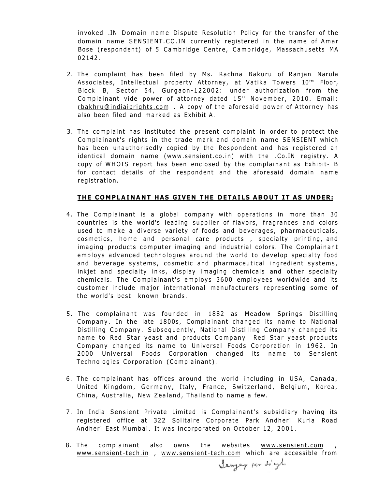invoked .IN Domain name Dispute Resolution Policy for the transfer of the domain name SENSIENT.CO.IN currently registered in the name of Amar Bose (respondent) of 5 Cambridge Centre, Cambridge, Massachusetts MA 02142.

- 2. The complaint has been filed by Ms. Rachna Bakuru of Ranjan Narula Associates, Intellectual property Attorney, at Vatika Towers 10™ Floor, Block B, Sector 54, Gurgaon-122002: under authorization from the Complainant vide power of attorney dated 15" November, 2010. Email: [rbakhru@indiaipriqhts.com](mailto:rbakhru@indiaipriqhts.com) . A copy of the aforesaid power of Attorney has also been filed and marked as Exhibit A.
- 3. The complaint has instituted the present complaint in order to protect the Complainant's rights in the trade mark and domain name SENSIENT which has been unauthorisedly copied by the Respondent and has registered an identical domain name ([www.sensient.co.in\)](http://www.sensient.co.in) with the .Co.IN registry. A copy of WHOIS report has been enclosed by the complainant as Exhibit- B for contact details of the respondent and the aforesaid domain name registration.

#### **THE COMPLAINANT HAS GIVEN THE DETAILS ABOUT IT AS UNDER:**

- 4. The Complainant is a global company with operations in more than 30 countries is the world's leading supplier of flavors, fragrances and colors used to make a diverse variety of foods and beverages, pharmaceuticals, cosmetics, home and personal care products, specialty printing, and imaging products computer imaging and industrial colors. The Complainant employs advanced technologies around the world to develop specialty food and beverage systems, cosmetic and pharmaceutical ingredient systems, inkjet and specialty inks, display imaging chemicals and other specialty chemicals. The Complainant's employs 3600 employees worldwide and its customer include major international manufacturers representing some of the world's best- known brands.
- 5. The complainant was founded in 1882 as Meadow Springs Distilling Company. In the late 1800s, Complainant changed its name to National Distilling Company. Subsequently, National Distilling Company changed its name to Red Star yeast and products Company. Red Star yeast products Company changed its name to Universal Foods Corporation in 1962. In 2000 Universal Foods Corporation changed its name to Sensient Technologies Corporation (Complainant) .
- 6. The complainant has offices around the world including in USA, Canada, United Kingdom, Germany, Italy, France, Switzerland, Belgium, Korea, China, Australia, New Zealand, Thailand to name a few.
- 7. In India Sensient Private Limited is Complainant's subsidiary having its registered office at 322 Solitaire Corporate Park Andheri Kurla Road Andheri East Mumbai. It was incorporated on October 12, 2001.
- 8. The complainant also owns the websites www.sensient.com [www.sensient-tech.in ,](http://www.sensient-tech.in) [www.sensient-tech.com w](http://www.sensient-tech.com)hich are accessible from

Sangay Kr L'ogh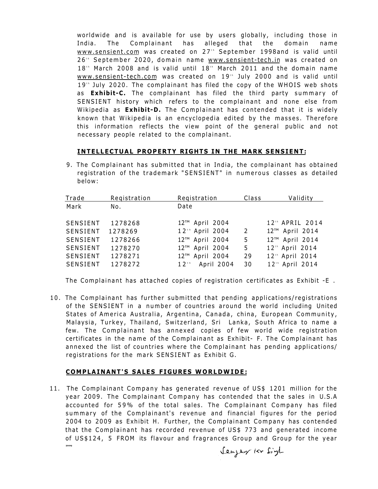worldwide and is available for use by users globally, including those in India. The Complainant has alleged that the domain name www.sensient.<u>com</u> was created on 27<sup>th</sup> September 1998and is valid until 26<sup>th</sup> September 2020, domain name <u>www.sensient-tech.in</u> was created on  $18$ <sup>th</sup> March 2008 and is valid until  $18$ <sup>th</sup> March 2011 and the domain name <u>www.sensient-tech.com</u> was created on 19<sup>th</sup> July 2000 and is valid until 19<sup>th</sup> July 2020. The complainant has filed the copy of the WHOIS web shots as **Exhibit-C.** The complainant has filed the third party summary of SENSIENT history which refers to the complainant and none else from Wikipedia as **Exhibit-D.** The Complainant has contended that it is widely known that Wikipedia is an encyclopedia edited by the masses. Therefore this information reflects the view point of the general public and not necessary people related to the complainant.

### **INTELLECTUAL PROPERTY RIGHTS IN THE MARK SENSIENT:**

9. The Complainant has submitted that in India, the complainant has obtained registration of the trademark "SENSIENT" in numerous classes as detailed below:

| Registration | Registration                     | Class          | Validity                    |
|--------------|----------------------------------|----------------|-----------------------------|
| No.          | Date                             |                |                             |
|              |                                  |                |                             |
|              |                                  |                | 12 <sup>th</sup> APRIL 2014 |
| 1278269      | 12 <sup>th</sup> April 2004      |                | 12™ April 2014              |
| 1278266      | 12™ April 2004                   | -5             | 12™ April 2014              |
| 1278270      | 12™ April 2004                   | 5              | 12 <sup>th</sup> April 2014 |
| 1278271      | 12™ April 2004                   | 29             | 12th April 2014             |
| 1278272      | April 2004<br>$12$ <sup>th</sup> | 30             | 12 <sup>th</sup> April 2014 |
|              | 1278268                          | 12™ April 2004 | $\overline{2}$              |

The Complainant has attached copies of registration certificates as Exhibit -E.

1 0. The Complainant has further submitted that pending applications/registrations of the SENSIENT in a number of countries around the world including United States of America Australia, Argentina, Canada, china, European Community, Malaysia, Turkey, Thailand, Switzerland, Sri Lanka, South Africa to name a few. The Complainant has annexed copies of few world wide registration certificates in the name of the Complainant as Exhibit- F. The Complainant has annexed the list of countries where the Complainant has pending applications/ registrations for the mark SENSIENT as Exhibit G.

# **COMPLAINANT' S SALE S FIGURES WORLDWIDE:**

11. The Complainant Company has generated revenue of US\$ 1201 million for the year 2009. The Complainant Company has contended that the sales in U.S.A accounted for 59% of the total sales. The Complainant Company has filed summary of the Complainant's revenue and financial figures for the period 2004 to 2009 as Exhibit H. Further, the Complainant Company has contended that the Complainant has recorded revenue of US\$ 773 and generated income of US\$124, 5 FROM its flavour and fragrances Group and Group for the year **2009** 

Lenger Kr Sight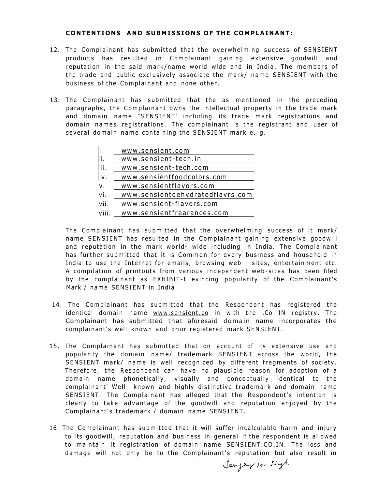### **CONTENTIONS AND SUBMISSIONS OF THE COMPLAINANT:**

- 12. The Complainant has submitted that the overwhelming success of SENSIENT products has resulted in Complainant gaining extensive goodwill and reputation in the said mark/name world wide and in India. The members of the trade and public exclusively associate the mark/ name SENSIENT with the business of the Complainant and none other.
- 13. The Complainant has submitted that the as mentioned in the preceding paragraphs, the Complainant owns the intellectual property in the trade mark and domain name "SENSIENT ' including its trade mark registrations and domain names registrations. The complainant is the registrant and user of several domain name containing the SENSIENT mark e. g.

|       | www.sensient.com                 |
|-------|----------------------------------|
| ii.   | www.sensient-tech.in             |
| iii.  | www.sensient-tech.com            |
| iv.   | www.sensientfoodcolors.com       |
| V.    | www.sensientflavors.com          |
| vi.   | www.sensientdehvdratedflavrs.com |
| vii.  | www.sensient-flavors.com         |
| viii. | www.sensientfraarances.com       |

The Complainant has submitted that the overwhelming success of it mark/ name SENSIENT has resulted in the Complainant gaining extensive goodwill and reputation in the mark world- wide including in India. The Complainant has further submitted that it is Common for every business and household in India to use the Internet for emails, browsing web - sites, entertainment etc. A compilation of printouts from various independent web-sites has been filed by the complainant as EXHIBIT-I evincing popularity of the Complainant's Mark / name SENSIENT in India.

- 14. The Complainant has submitted that the Respondent has registered the identical domain name [www.sensient.co i](http://www.sensient.co)n with the .Co IN registry. The Complainant has submitted that aforesaid domain name incorporates the complainant's well known and prior registered mark SENSIENT.
- 15. The Complainant has submitted that on account of its extensive use and popularity the domain name/ trademark SENSIENT across the world, the SENSIENT mark/ name is well recognized by different fragments of society. Therefore, the Respondent can have no plausible reason for adoption of a domain name phonetically, visually and conceptually identical to the complainant' Well- known and highly distinctive trademark and domain name SENSIENT. The Complainant has alleged that the Respondent's intention is clearly to take advantage of the goodwill and reputation enjoyed by the Complainant's trademark / domain name SENSIENT.
- 16. The Complainant has submitted that it will suffer incalculable harm and injury to its goodwill, reputation and business in general if the respondent is allowed to maintain it registration of domain name SENSIENT.CO.IN . The loss and damage will not only be to the Complainant's reputation but also result in

Sangery por Lingle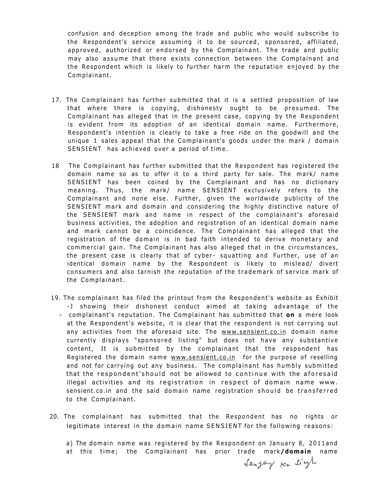confusion and deception among the trade and public who would subscribe to the Respondent's service assuming it to be sourced, sponsored, affiliated, approved, authorized or endorsed by the Complainant. The trade and public m ay also assume that there exists connection between the Complainant and the Respondent which is likely to further harm the reputation enjoyed by the Complainant.

- 17. The Complainant has further submitted that it is a settled proposition of law that where there is copying, dishonesty ought to be presumed. The Complainant has alleged that in the present case, copying by the Respondent is evident from its adoption of an identical domain name. Furthermore, Respondent's intention is clearly to take a free ride on the goodwill and the unique 1 sales appeal that the Complainant's goods under the mark / domain SENSIENT has achieved over a period of time.
- 18 The Complainant has further submitted that the Respondent has registered the domain name so as to offer it to a third party for sale. The mark/ name SENSIENT has been coined by the Complainant and has no dictionary meaning. Thus, the mark/ name SENSIENT exclusively refers to the Complainant and none else. Further, given the worldwide publicity of the SENSIENT mark and domain and considering the highly distinctive nature of the SENSIENT mark and name in respect of the complainant's aforesaid business activities, the adoption and registration of an identical domain name and mark cannot be a coincidence. The Complainant has alleged that the registration of the domain is in bad faith intended to derive monetary and commercial gain. The Complainant has also alleged that in the circumstances , the present case is clearly that of cyber- squatting and Further, use of an identical domain name by the Respondent is likely to mislead/ divert consumers and also tarnish the reputation of the trademark of service mark of the Complainant.
- 19. The complainant has filed the printout from the Respondent's website as Exhibit -J showing their dishonest conduct aimed at taking advantage of the - complainant's reputation. The Complainant has submitted that **on** a mere look at the Respondent's website, it is clear that the respondent is not carrying out any activities from the aforesaid site. The [www.sensient.co.in d](http://www.sensient.co.in)omain name currently displays "sponsored listing" but does not have any substantive content, It is submitted by the complainant that the respondent has Registered the domain name [www.sensient.co.in f](http://www.sensient.co.in)or the purpose of reselling and not for carrying out any business. The complainant has humbly submitted that the respondent'should not be allowed to continue with the aforesaid illegal activities and its registration in respect of domain name www. sensient.co. in and the said domain name registration should be transferred to the Complainant.
- 20. The complainant has submitted that the Respondent has no rights or legitimate interest in the domain name SENSIENT for the following reasons:

a) The domain name was registered by the Respondent on January 8, 2011and at this time; the Complainant has prior trade mark**/domain** name

Sangay Kr sigh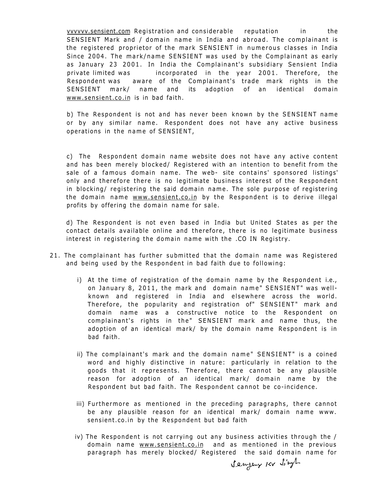[vvvvvv.sensient.com](http://vvvvvv.sensient.com) Registration and considerable reputation in the SENSIENT Mark and / domain name in India and abroad. The complainant is the registered proprietor of the mark SENSIENT in numerous classes in India Since 2004. The mark/name SENSIENT was used by the Complainant as early as January 23 2001. In India the Complainant's subsidiary Sensient India private limited was incorporated in the year 2001. Therefore, the Respondent was aware of the Complainant's trade mark rights in the SENSIENT mark/ name and its adoption of an identical domain [www.sensient.co.in i](http://www.sensient.co.in)s in bad faith.

b) The Respondent is not and has never been known by the SENSIENT name or by any similar name. Respondent does not have any active business operations in the name of SENSIENT,

c) The Respondent domain name website does not have any active content and has been merely blocked/ Registered with an intention to benefit from the sale of a famous domain name. The web- site contains' sponsored listings' only and therefore there is no legitimate business interest of the Respondent in blocking/ registering the said domain name. The sole purpose of registering the domain name [www.sensient.co.in b](http://www.sensient.co.in)y the Respondent is to derive illegal profits by offering the domain name for sale.

d) The Respondent is not even based in India but United States as per the contact details available online and therefore, there is no legitimate business interest in registering the domain name with the .CO IN Registry.

- 2 1. The complainant has further submitted that the domain name was Registered and being used by the Respondent in bad faith due to following:
	- i) At the time of registration of the domain name by the Respondent i.e., on January 8, 2011, the mark and domain name" SENSIENT" was wellknown and registered in India and elsewhere across the world. Therefore, the popularity and registration of" SENSIENT" mark and domain name was a constructive notice to the Respondent on complainant's rights in the" SENSIENT mark and name thus, the adoption of an identical mark/ by the domain name Respondent is in bad faith.
	- ii) The complainant's mark and the domain name" SENSIENT" is a coined word and highly distinctive in nature: particularly in relation to the goods that it represents. Therefore, there cannot be any plausible reason for adoption of an identical mark/ domain name by the Respondent but bad faith. The Respondent cannot be co-incidence.
	- iii) Furthermore as mentioned in the preceding paragraphs, there cannot be any plausible reason for an identical mark/ domain name www. sensient.co.in by the Respondent but bad faith
	- iv) The Respondent is not carrying out any business activities through the / domain name [www.sensient.co.in a](http://www.sensient.co.in)nd as mentioned in the previous paragraph has merely blocked/ Registered the said domain name for

Senzey por Single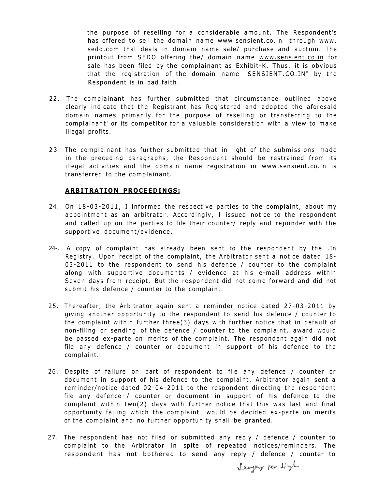the purpose of reselling for a considerable amount. The Respondent's has offered to sell the domain name [www.sensient.co.in](http://www.sensient.co.in) through www. [sedo.com](http://sedo.com) that deals in domain name sale/ purchase and auction. The printout from SEDO offering the/ domain name [www.sensient.co.in f](http://www.sensient.co.in)or sale has been filed by the complainant as Exhibit-K. Thus, it is obvious that the registration of the domain name "SENSIENT.CO.IN" by the Respondent is in bad faith.

- 22. The complainant has further submitted that circumstance outlined above clearly indicate that the Registrant has Registered and adopted the aforesaid domain names primarily for the purpose of reselling or transferring to the complainant' or its competitor for a valuable consideration with a view to make illegal profits.
- 23. The complainant has further submitted that in light of the submissions made in the preceding paragraphs, the Respondent should be restrained from its illegal activities and the domain name registration in [www.sensient.co.in](http://www.sensient.co.in) is transferred to the complainant.

#### **ARBITRATIO N PROCEEDINGS :**

- 24. On 18-03-2011, I informed the respective parties to the complaint, about my appointment as an arbitrator. Accordingly, I issued notice to the respondent and called up on the parties to file their counter/ reply and rejoinder with the supportive document/evidence.
- 24-. A copy of complaint has already been sent to the respondent by the .In Registry. Upon receipt of the complaint, the Arbitrator sent a notice dated 18- 03-2011 to the respondent to send his defence / counter to the complaint along with supportive documents / evidence at his e-mail address within Seven days from receipt. But the respondent did not come forward and did not submit his defence / counter to the complaint.
- 25. Thereafter, the Arbitrator again sent a reminder notice dated 27-03-2011 by giving another opportunity to the respondent to send his defence / counter to the complaint within further three(3) days with further notice that in default of non-filing or sending of the defence / counter to the complaint, award would be passed ex-parte on merits of the complaint. The respondent again did not file any defence / counter or document in support of his defence to the complaint.
- 26. Despite of failure on part of respondent to file any defence / counter or document in support of his defence to the complaint, Arbitrator again sent a reminder/notice dated 02-04-2011 to the respondent directing the respondent file any defence / counter or document in support of his defence to the complaint within two(2) days with further notice that this was last and final opportunity failing which the complaint would be decided ex-parte on merits of the complaint and no further opportunity shall be granted.
- 27. The respondent has not filed or submitted any reply / defence / counter to complaint to the Arbitrator in spite of repeated notices/reminders . The respondent has not bothered to send any reply / defence / counter to

Langery par Light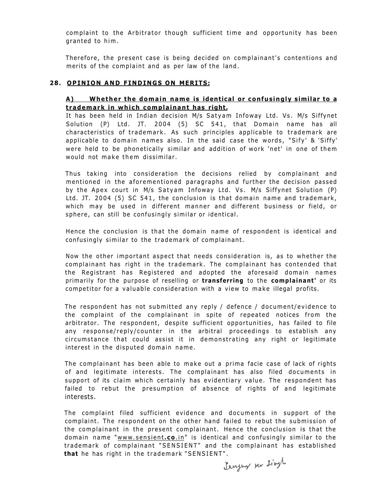complaint to the Arbitrator though sufficient time and opportunity has been granted to him.

Therefore, the present case is being decided on complainant's contentions and merits of the complaint and as per law of the land.

#### **28. OPINION AND FINDINGS ON MERITS:**

### **A) Whether the domain name is identical or confusingly similar to a trademark in which complainant has right.**

It has been held in Indian decision M/s Satyam Infoway Ltd. Vs. M/s Siffynet Solution (P) Ltd. JT. 2004 (5) SC 541, that Domain name has all characteristics of trademark. As such principles applicable to trademark are applicable to domain names also. In the said case the words, "Sify' & 'Siffy' were held to be phonetically similar and addition of work 'net' in one of them would not make them dissimilar.

Thus taking into consideration the decisions relied by complainant and mentioned in the aforementioned paragraphs and further the decision passed by the Apex court in M/s Satyam Infoway Ltd. Vs. M/s Siffynet Solution (P) Ltd. JT. 2004 (5) SC 541, the conclusion is that domain name and trademark, which may be used in different manner and different business or field, or sphere, can still be confusingly similar or identical.

Hence the conclusion is that the domain name of respondent is identical and confusingly similar to the trademark of complainant.

Now the other important aspect that needs consideration is, as to whether the complainant has right in the trademark. The complainant has contended that the Registrant has Registered and adopted the aforesaid domain names primarily for the purpose of reselling or **transferring** to the **complainant '** or its competitor for a valuable consideration with a view to make illegal profits.

The respondent has not submitted any reply / defence / document/evidence to the complaint of the complainant in spite of repeated notices from the arbitrator. The respondent, despite sufficient opportunities, has failed to file any response/reply/counter in the arbitral proceedings to establish any circumstance that could assist it in demonstrating any right or legitimate interest in the disputed domain name.

The complainant has been able to make out a prima facie case of lack of rights of and legitimate interests. The complainant has also filed documents in support of its claim which certainly has evidentiary value. The respondent has failed to rebut the presumption of absence of rights of and legitimate interests.

The complaint filed sufficient evidence and documents in support of the complaint. The respondent on the other hand failed to rebut the submission of the complainant in the present complainant. Hence the conclusion is that the domain name "[www.sensient](http://www.sensient.co.in)**.co**.in" is identical and confusingly similar to the trademark of complainant "SENSIENT " and the complainant has established **that** he has right in the trademark "SENSIENT" .

Janjey kr Livyl